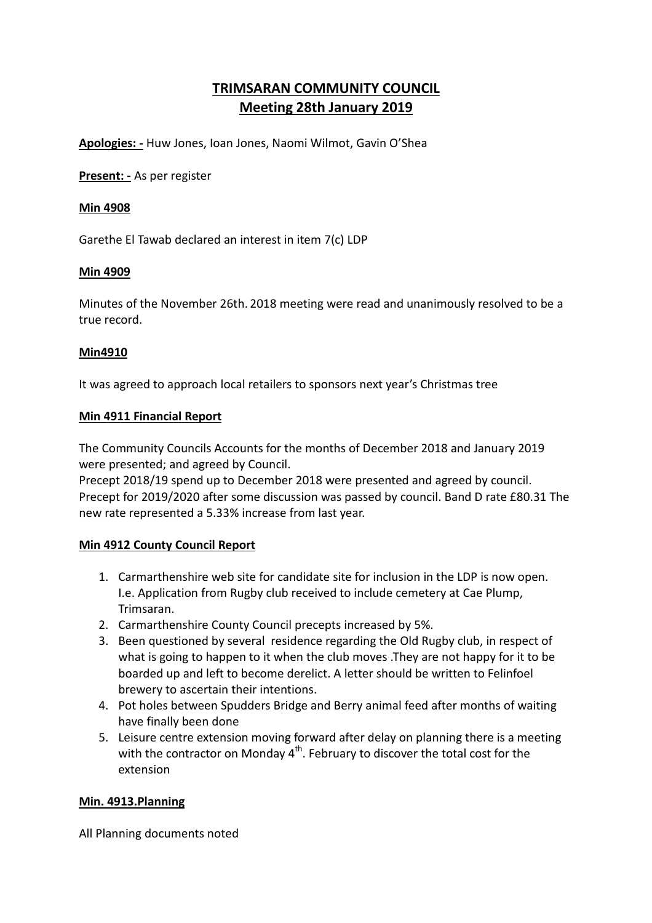# **TRIMSARAN COMMUNITY COUNCIL Meeting 28th January 2019**

**Apologies: -** Huw Jones, Ioan Jones, Naomi Wilmot, Gavin O'Shea

**Present: -** As per register

## **Min 4908**

Garethe El Tawab declared an interest in item 7(c) LDP

## **Min 4909**

Minutes of the November 26th. 2018 meeting were read and unanimously resolved to be a true record.

# **Min4910**

It was agreed to approach local retailers to sponsors next year's Christmas tree

## **Min 4911 Financial Report**

The Community Councils Accounts for the months of December 2018 and January 2019 were presented; and agreed by Council.

Precept 2018/19 spend up to December 2018 were presented and agreed by council. Precept for 2019/2020 after some discussion was passed by council. Band D rate £80.31 The new rate represented a 5.33% increase from last year.

# **Min 4912 County Council Report**

- 1. Carmarthenshire web site for candidate site for inclusion in the LDP is now open. I.e. Application from Rugby club received to include cemetery at Cae Plump, Trimsaran.
- 2. Carmarthenshire County Council precepts increased by 5%.
- 3. Been questioned by several residence regarding the Old Rugby club, in respect of what is going to happen to it when the club moves .They are not happy for it to be boarded up and left to become derelict. A letter should be written to Felinfoel brewery to ascertain their intentions.
- 4. Pot holes between Spudders Bridge and Berry animal feed after months of waiting have finally been done
- 5. Leisure centre extension moving forward after delay on planning there is a meeting with the contractor on Monday  $4<sup>th</sup>$ . February to discover the total cost for the extension

# **Min. 4913.Planning**

All Planning documents noted